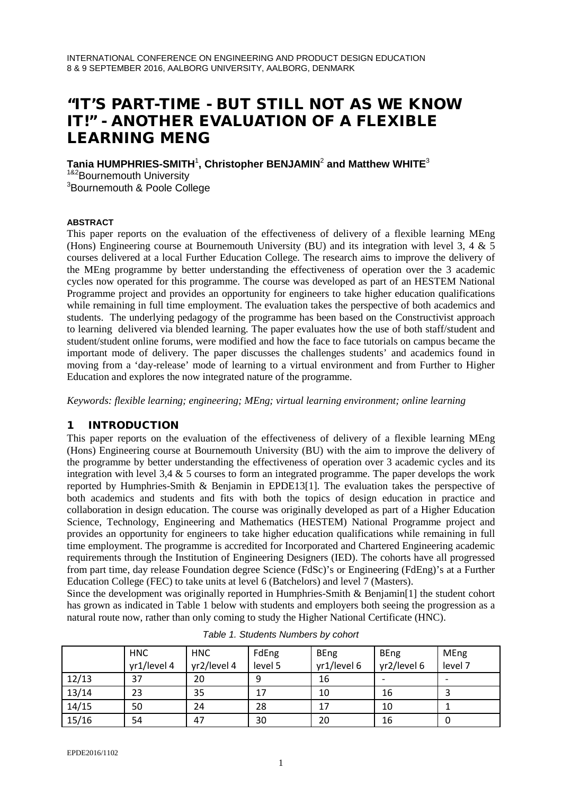# "IT'S PART-TIME - BUT STILL NOT AS WE KNOW IT!" - ANOTHER EVALUATION OF A FLEXIBLE LEARNING MENG

**Tania HUMPHRIES-SMITH<sup>1</sup>, Christopher BENJAMIN<sup>2</sup> and Matthew WHITE<sup>3</sup><br><sup>1&2</sup>Bournemouth University** 3 Bournemouth & Poole College

#### **ABSTRACT**

This paper reports on the evaluation of the effectiveness of delivery of a flexible learning MEng (Hons) Engineering course at Bournemouth University (BU) and its integration with level 3, 4 & 5 courses delivered at a local Further Education College. The research aims to improve the delivery of the MEng programme by better understanding the effectiveness of operation over the 3 academic cycles now operated for this programme. The course was developed as part of an HESTEM National Programme project and provides an opportunity for engineers to take higher education qualifications while remaining in full time employment. The evaluation takes the perspective of both academics and students. The underlying pedagogy of the programme has been based on the Constructivist approach to learning delivered via blended learning. The paper evaluates how the use of both staff/student and student/student online forums, were modified and how the face to face tutorials on campus became the important mode of delivery. The paper discusses the challenges students' and academics found in moving from a 'day-release' mode of learning to a virtual environment and from Further to Higher Education and explores the now integrated nature of the programme.

*Keywords: flexible learning; engineering; MEng; virtual learning environment; online learning*

#### 1 INTRODUCTION

This paper reports on the evaluation of the effectiveness of delivery of a flexible learning MEng (Hons) Engineering course at Bournemouth University (BU) with the aim to improve the delivery of the programme by better understanding the effectiveness of operation over 3 academic cycles and its integration with level  $3.4 \& 5$  courses to form an integrated programme. The paper develops the work reported by Humphries-Smith & Benjamin in EPDE13[1]. The evaluation takes the perspective of both academics and students and fits with both the topics of design education in practice and collaboration in design education. The course was originally developed as part of a Higher Education Science, Technology, Engineering and Mathematics (HESTEM) National Programme project and provides an opportunity for engineers to take higher education qualifications while remaining in full time employment. The programme is accredited for Incorporated and Chartered Engineering academic requirements through the Institution of Engineering Designers (IED). The cohorts have all progressed from part time, day release Foundation degree Science (FdSc)'s or Engineering (FdEng)'s at a Further Education College (FEC) to take units at level 6 (Batchelors) and level 7 (Masters).

Since the development was originally reported in Humphries-Smith & Benjamin[1] the student cohort has grown as indicated in Table 1 below with students and employers both seeing the progression as a natural route now, rather than only coming to study the Higher National Certificate (HNC).

|       | <b>HNC</b>  | <b>HNC</b>  | FdEng   | <b>BEng</b> | <b>BEng</b> | MEng    |
|-------|-------------|-------------|---------|-------------|-------------|---------|
|       | yr1/level 4 | yr2/level 4 | level 5 | yr1/level 6 | yr2/level 6 | level 7 |
| 12/13 | 37          | 20          | 9       | 16          |             |         |
| 13/14 | 23          | 35          | 17      | 10          | 16          |         |
| 14/15 | 50          | 24          | 28      | 17          | 10          |         |
| 15/16 | 54          | 47          | 30      | 20          | 16          |         |

| Table 1. Students Numbers by cohort |  |  |
|-------------------------------------|--|--|
|-------------------------------------|--|--|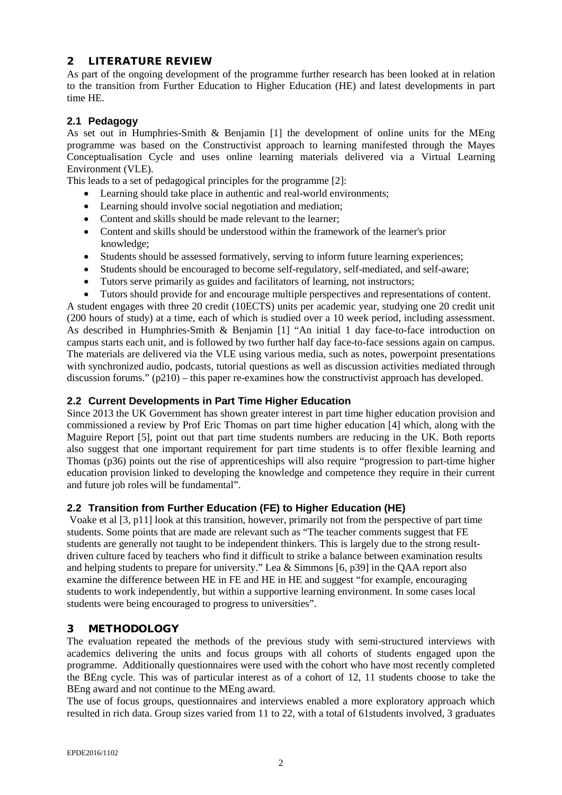## 2 LITERATURE REVIEW

As part of the ongoing development of the programme further research has been looked at in relation to the transition from Further Education to Higher Education (HE) and latest developments in part time HE.

## **2.1 Pedagogy**

As set out in Humphries-Smith & Benjamin [1] the development of online units for the MEng programme was based on the Constructivist approach to learning manifested through the Mayes Conceptualisation Cycle and uses online learning materials delivered via a Virtual Learning Environment (VLE).

This leads to a set of pedagogical principles for the programme [2]:

- Learning should take place in authentic and real-world environments;
- Learning should involve social negotiation and mediation;
- Content and skills should be made relevant to the learner;
- Content and skills should be understood within the framework of the learner's prior knowledge;
- Students should be assessed formatively, serving to inform future learning experiences;
- Students should be encouraged to become self-regulatory, self-mediated, and self-aware;
- Tutors serve primarily as guides and facilitators of learning, not instructors;

• Tutors should provide for and encourage multiple perspectives and representations of content. A student engages with three 20 credit (10ECTS) units per academic year, studying one 20 credit unit (200 hours of study) at a time, each of which is studied over a 10 week period, including assessment. As described in Humphries-Smith & Benjamin [1] "An initial 1 day face-to-face introduction on campus starts each unit, and is followed by two further half day face-to-face sessions again on campus. The materials are delivered via the VLE using various media, such as notes, powerpoint presentations with synchronized audio, podcasts, tutorial questions as well as discussion activities mediated through discussion forums." (p210) – this paper re-examines how the constructivist approach has developed.

#### **2.2 Current Developments in Part Time Higher Education**

Since 2013 the UK Government has shown greater interest in part time higher education provision and commissioned a review by Prof Eric Thomas on part time higher education [4] which, along with the Maguire Report [5], point out that part time students numbers are reducing in the UK. Both reports also suggest that one important requirement for part time students is to offer flexible learning and Thomas (p36) points out the rise of apprenticeships will also require "progression to part-time higher education provision linked to developing the knowledge and competence they require in their current and future job roles will be fundamental".

## **2.2 Transition from Further Education (FE) to Higher Education (HE)**

Voake et al [3, p11] look at this transition, however, primarily not from the perspective of part time students. Some points that are made are relevant such as "The teacher comments suggest that FE students are generally not taught to be independent thinkers. This is largely due to the strong resultdriven culture faced by teachers who find it difficult to strike a balance between examination results and helping students to prepare for university." Lea & Simmons [6, p39] in the QAA report also examine the difference between HE in FE and HE in HE and suggest "for example, encouraging students to work independently, but within a supportive learning environment. In some cases local students were being encouraged to progress to universities".

## 3 METHODOLOGY

The evaluation repeated the methods of the previous study with semi-structured interviews with academics delivering the units and focus groups with all cohorts of students engaged upon the programme. Additionally questionnaires were used with the cohort who have most recently completed the BEng cycle. This was of particular interest as of a cohort of 12, 11 students choose to take the BEng award and not continue to the MEng award.

The use of focus groups, questionnaires and interviews enabled a more exploratory approach which resulted in rich data. Group sizes varied from 11 to 22, with a total of 61students involved, 3 graduates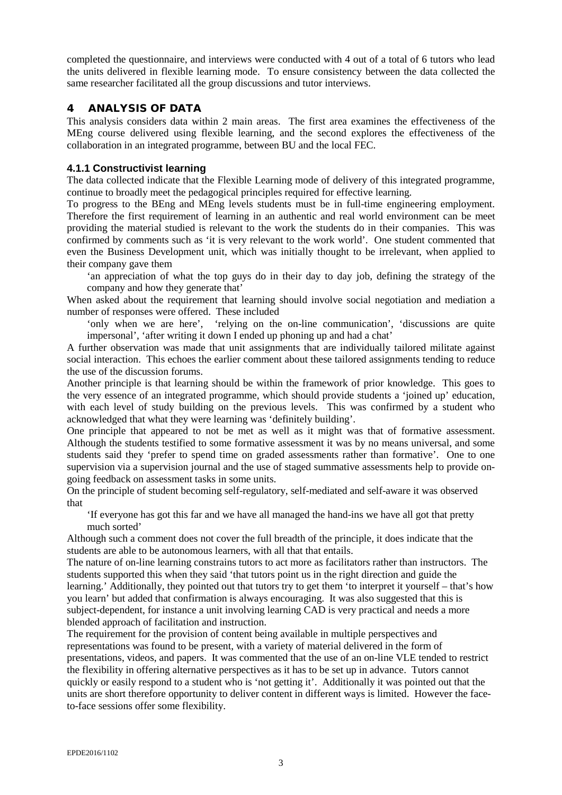completed the questionnaire, and interviews were conducted with 4 out of a total of 6 tutors who lead the units delivered in flexible learning mode. To ensure consistency between the data collected the same researcher facilitated all the group discussions and tutor interviews.

## 4 ANALYSIS OF DATA

This analysis considers data within 2 main areas. The first area examines the effectiveness of the MEng course delivered using flexible learning, and the second explores the effectiveness of the collaboration in an integrated programme, between BU and the local FEC.

#### **4.1.1 Constructivist learning**

The data collected indicate that the Flexible Learning mode of delivery of this integrated programme, continue to broadly meet the pedagogical principles required for effective learning.

To progress to the BEng and MEng levels students must be in full-time engineering employment. Therefore the first requirement of learning in an authentic and real world environment can be meet providing the material studied is relevant to the work the students do in their companies. This was confirmed by comments such as 'it is very relevant to the work world'. One student commented that even the Business Development unit, which was initially thought to be irrelevant, when applied to their company gave them

'an appreciation of what the top guys do in their day to day job, defining the strategy of the company and how they generate that'

When asked about the requirement that learning should involve social negotiation and mediation a number of responses were offered. These included

'only when we are here', 'relying on the on-line communication', 'discussions are quite impersonal', 'after writing it down I ended up phoning up and had a chat'

A further observation was made that unit assignments that are individually tailored militate against social interaction. This echoes the earlier comment about these tailored assignments tending to reduce the use of the discussion forums.

Another principle is that learning should be within the framework of prior knowledge. This goes to the very essence of an integrated programme, which should provide students a 'joined up' education, with each level of study building on the previous levels. This was confirmed by a student who acknowledged that what they were learning was 'definitely building'.

One principle that appeared to not be met as well as it might was that of formative assessment. Although the students testified to some formative assessment it was by no means universal, and some students said they 'prefer to spend time on graded assessments rather than formative'. One to one supervision via a supervision journal and the use of staged summative assessments help to provide ongoing feedback on assessment tasks in some units.

On the principle of student becoming self-regulatory, self-mediated and self-aware it was observed that

'If everyone has got this far and we have all managed the hand-ins we have all got that pretty much sorted'

Although such a comment does not cover the full breadth of the principle, it does indicate that the students are able to be autonomous learners, with all that that entails.

The nature of on-line learning constrains tutors to act more as facilitators rather than instructors. The students supported this when they said 'that tutors point us in the right direction and guide the learning.' Additionally, they pointed out that tutors try to get them 'to interpret it yourself – that's how you learn' but added that confirmation is always encouraging. It was also suggested that this is subject-dependent, for instance a unit involving learning CAD is very practical and needs a more blended approach of facilitation and instruction.

The requirement for the provision of content being available in multiple perspectives and representations was found to be present, with a variety of material delivered in the form of presentations, videos, and papers. It was commented that the use of an on-line VLE tended to restrict the flexibility in offering alternative perspectives as it has to be set up in advance. Tutors cannot quickly or easily respond to a student who is 'not getting it'. Additionally it was pointed out that the units are short therefore opportunity to deliver content in different ways is limited. However the faceto-face sessions offer some flexibility.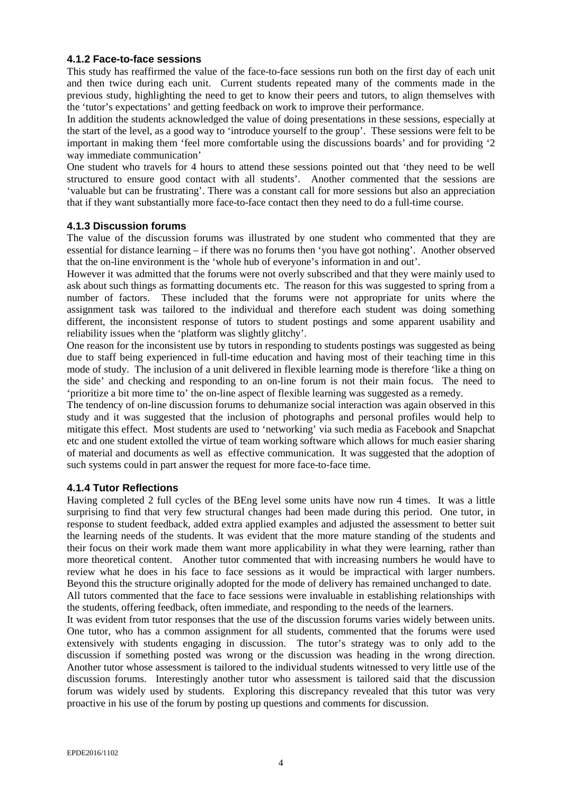#### **4.1.2 Face-to-face sessions**

This study has reaffirmed the value of the face-to-face sessions run both on the first day of each unit and then twice during each unit. Current students repeated many of the comments made in the previous study, highlighting the need to get to know their peers and tutors, to align themselves with the 'tutor's expectations' and getting feedback on work to improve their performance.

In addition the students acknowledged the value of doing presentations in these sessions, especially at the start of the level, as a good way to 'introduce yourself to the group'. These sessions were felt to be important in making them 'feel more comfortable using the discussions boards' and for providing '2 way immediate communication'

One student who travels for 4 hours to attend these sessions pointed out that 'they need to be well structured to ensure good contact with all students'. Another commented that the sessions are 'valuable but can be frustrating'. There was a constant call for more sessions but also an appreciation that if they want substantially more face-to-face contact then they need to do a full-time course.

#### **4.1.3 Discussion forums**

The value of the discussion forums was illustrated by one student who commented that they are essential for distance learning – if there was no forums then 'you have got nothing'. Another observed that the on-line environment is the 'whole hub of everyone's information in and out'.

However it was admitted that the forums were not overly subscribed and that they were mainly used to ask about such things as formatting documents etc. The reason for this was suggested to spring from a number of factors. These included that the forums were not appropriate for units where the assignment task was tailored to the individual and therefore each student was doing something different, the inconsistent response of tutors to student postings and some apparent usability and reliability issues when the 'platform was slightly glitchy'.

One reason for the inconsistent use by tutors in responding to students postings was suggested as being due to staff being experienced in full-time education and having most of their teaching time in this mode of study. The inclusion of a unit delivered in flexible learning mode is therefore 'like a thing on the side' and checking and responding to an on-line forum is not their main focus. The need to 'prioritize a bit more time to' the on-line aspect of flexible learning was suggested as a remedy.

The tendency of on-line discussion forums to dehumanize social interaction was again observed in this study and it was suggested that the inclusion of photographs and personal profiles would help to mitigate this effect. Most students are used to 'networking' via such media as Facebook and Snapchat etc and one student extolled the virtue of team working software which allows for much easier sharing of material and documents as well as effective communication. It was suggested that the adoption of such systems could in part answer the request for more face-to-face time.

#### **4.1.4 Tutor Reflections**

Having completed 2 full cycles of the BEng level some units have now run 4 times. It was a little surprising to find that very few structural changes had been made during this period. One tutor, in response to student feedback, added extra applied examples and adjusted the assessment to better suit the learning needs of the students. It was evident that the more mature standing of the students and their focus on their work made them want more applicability in what they were learning, rather than more theoretical content. Another tutor commented that with increasing numbers he would have to review what he does in his face to face sessions as it would be impractical with larger numbers. Beyond this the structure originally adopted for the mode of delivery has remained unchanged to date. All tutors commented that the face to face sessions were invaluable in establishing relationships with the students, offering feedback, often immediate, and responding to the needs of the learners.

It was evident from tutor responses that the use of the discussion forums varies widely between units. One tutor, who has a common assignment for all students, commented that the forums were used extensively with students engaging in discussion. The tutor's strategy was to only add to the discussion if something posted was wrong or the discussion was heading in the wrong direction. Another tutor whose assessment is tailored to the individual students witnessed to very little use of the discussion forums. Interestingly another tutor who assessment is tailored said that the discussion forum was widely used by students. Exploring this discrepancy revealed that this tutor was very proactive in his use of the forum by posting up questions and comments for discussion.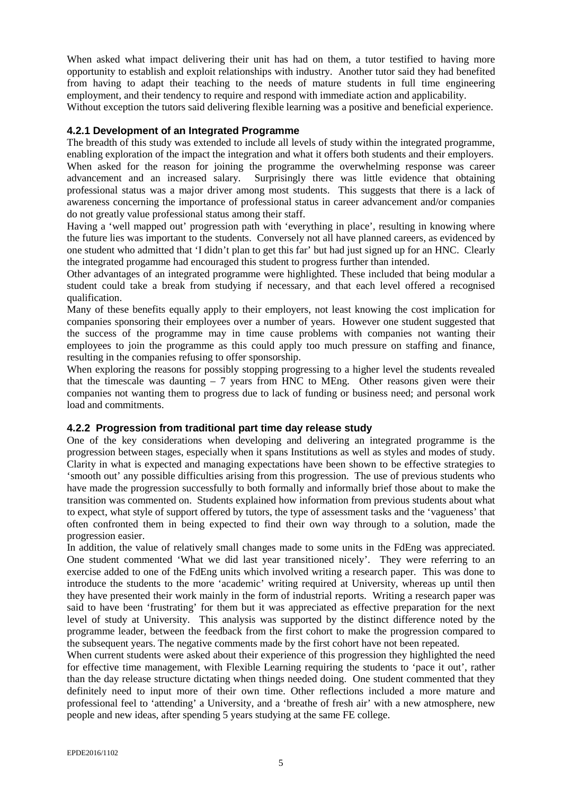When asked what impact delivering their unit has had on them, a tutor testified to having more opportunity to establish and exploit relationships with industry. Another tutor said they had benefited from having to adapt their teaching to the needs of mature students in full time engineering employment, and their tendency to require and respond with immediate action and applicability. Without exception the tutors said delivering flexible learning was a positive and beneficial experience.

#### **4.2.1 Development of an Integrated Programme**

The breadth of this study was extended to include all levels of study within the integrated programme, enabling exploration of the impact the integration and what it offers both students and their employers. When asked for the reason for joining the programme the overwhelming response was career advancement and an increased salary. Surprisingly there was little evidence that obtaining professional status was a major driver among most students. This suggests that there is a lack of awareness concerning the importance of professional status in career advancement and/or companies do not greatly value professional status among their staff.

Having a 'well mapped out' progression path with 'everything in place', resulting in knowing where the future lies was important to the students. Conversely not all have planned careers, as evidenced by one student who admitted that 'I didn't plan to get this far' but had just signed up for an HNC. Clearly the integrated progamme had encouraged this student to progress further than intended.

Other advantages of an integrated programme were highlighted. These included that being modular a student could take a break from studying if necessary, and that each level offered a recognised qualification.

Many of these benefits equally apply to their employers, not least knowing the cost implication for companies sponsoring their employees over a number of years. However one student suggested that the success of the programme may in time cause problems with companies not wanting their employees to join the programme as this could apply too much pressure on staffing and finance, resulting in the companies refusing to offer sponsorship.

When exploring the reasons for possibly stopping progressing to a higher level the students revealed that the timescale was daunting  $-7$  years from HNC to MEng. Other reasons given were their companies not wanting them to progress due to lack of funding or business need; and personal work load and commitments.

## **4.2.2 Progression from traditional part time day release study**

One of the key considerations when developing and delivering an integrated programme is the progression between stages, especially when it spans Institutions as well as styles and modes of study. Clarity in what is expected and managing expectations have been shown to be effective strategies to 'smooth out' any possible difficulties arising from this progression. The use of previous students who have made the progression successfully to both formally and informally brief those about to make the transition was commented on. Students explained how information from previous students about what to expect, what style of support offered by tutors, the type of assessment tasks and the 'vagueness' that often confronted them in being expected to find their own way through to a solution, made the progression easier.

In addition, the value of relatively small changes made to some units in the FdEng was appreciated. One student commented 'What we did last year transitioned nicely'. They were referring to an exercise added to one of the FdEng units which involved writing a research paper. This was done to introduce the students to the more 'academic' writing required at University, whereas up until then they have presented their work mainly in the form of industrial reports. Writing a research paper was said to have been 'frustrating' for them but it was appreciated as effective preparation for the next level of study at University. This analysis was supported by the distinct difference noted by the programme leader, between the feedback from the first cohort to make the progression compared to the subsequent years. The negative comments made by the first cohort have not been repeated.

When current students were asked about their experience of this progression they highlighted the need for effective time management, with Flexible Learning requiring the students to 'pace it out', rather than the day release structure dictating when things needed doing. One student commented that they definitely need to input more of their own time. Other reflections included a more mature and professional feel to 'attending' a University, and a 'breathe of fresh air' with a new atmosphere, new people and new ideas, after spending 5 years studying at the same FE college.